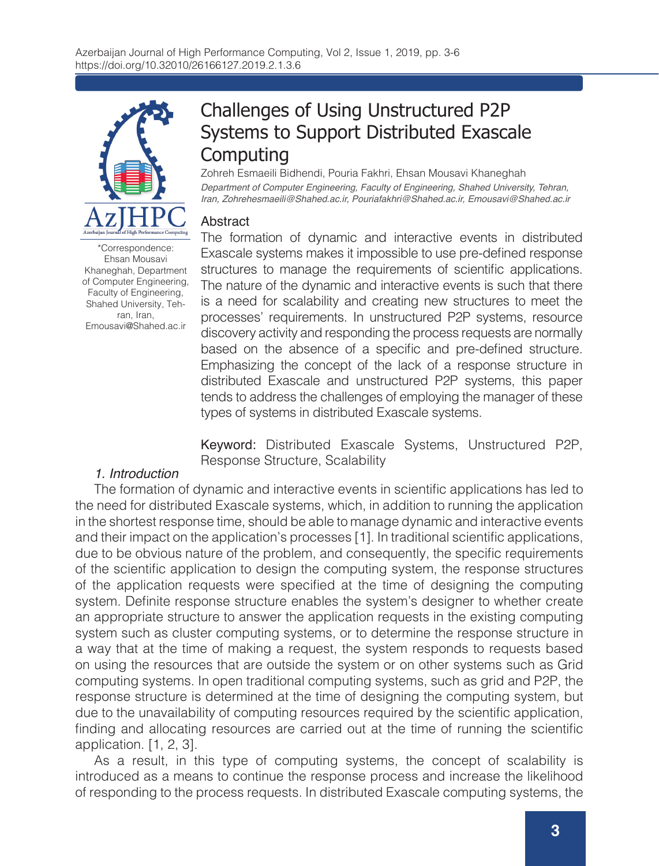

\*Correspondence: Ehsan Mousavi Khaneghah, Department of Computer Engineering, Faculty of Engineering, Shahed University, Tehran, Iran, Emousavi@Shahed.ac.ir

# Challenges of Using Unstructured P2P Systems to Support Distributed Exascale **Computing**

Zohreh Esmaeili Bidhendi, Pouria Fakhri, Ehsan Mousavi Khaneghah *Department of Computer Engineering, Faculty of Engineering, Shahed University, Tehran, Iran, Zohrehesmaeili@Shahed.ac.ir, Pouriafakhri@Shahed.ac.ir, Emousavi@Shahed.ac.ir*

## **Abstract**

The formation of dynamic and interactive events in distributed Exascale systems makes it impossible to use pre-defined response structures to manage the requirements of scientific applications. The nature of the dynamic and interactive events is such that there is a need for scalability and creating new structures to meet the processes' requirements. In unstructured P2P systems, resource discovery activity and responding the process requests are normally based on the absence of a specific and pre-defined structure. Emphasizing the concept of the lack of a response structure in distributed Exascale and unstructured P2P systems, this paper tends to address the challenges of employing the manager of these types of systems in distributed Exascale systems.

Keyword: Distributed Exascale Systems, Unstructured P2P, Response Structure, Scalability

# *1. Introduction*

The formation of dynamic and interactive events in scientific applications has led to the need for distributed Exascale systems, which, in addition to running the application in the shortest response time, should be able to manage dynamic and interactive events and their impact on the application's processes [1]. In traditional scientific applications, due to be obvious nature of the problem, and consequently, the specific requirements of the scientific application to design the computing system, the response structures of the application requests were specified at the time of designing the computing system. Definite response structure enables the system's designer to whether create an appropriate structure to answer the application requests in the existing computing system such as cluster computing systems, or to determine the response structure in a way that at the time of making a request, the system responds to requests based on using the resources that are outside the system or on other systems such as Grid computing systems. In open traditional computing systems, such as grid and P2P, the response structure is determined at the time of designing the computing system, but due to the unavailability of computing resources required by the scientific application, finding and allocating resources are carried out at the time of running the scientific application. [1, 2, 3].

As a result, in this type of computing systems, the concept of scalability is introduced as a means to continue the response process and increase the likelihood of responding to the process requests. In distributed Exascale computing systems, the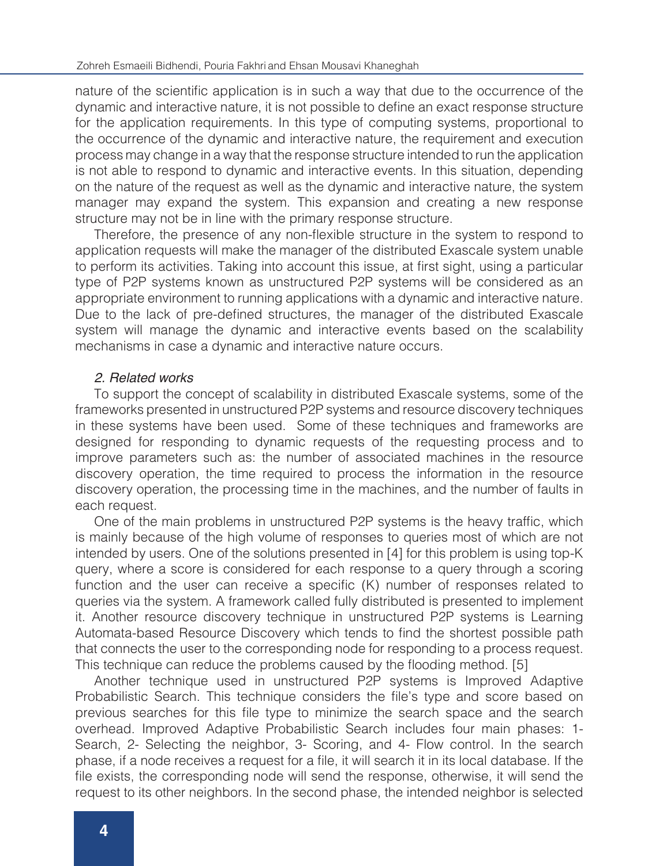nature of the scientific application is in such a way that due to the occurrence of the dynamic and interactive nature, it is not possible to define an exact response structure for the application requirements. In this type of computing systems, proportional to the occurrence of the dynamic and interactive nature, the requirement and execution process may change in a way that the response structure intended to run the application is not able to respond to dynamic and interactive events. In this situation, depending on the nature of the request as well as the dynamic and interactive nature, the system manager may expand the system. This expansion and creating a new response structure may not be in line with the primary response structure.

Therefore, the presence of any non-flexible structure in the system to respond to application requests will make the manager of the distributed Exascale system unable to perform its activities. Taking into account this issue, at first sight, using a particular type of P2P systems known as unstructured P2P systems will be considered as an appropriate environment to running applications with a dynamic and interactive nature. Due to the lack of pre-defined structures, the manager of the distributed Exascale system will manage the dynamic and interactive events based on the scalability mechanisms in case a dynamic and interactive nature occurs.

### *2. Related works*

To support the concept of scalability in distributed Exascale systems, some of the frameworks presented in unstructured P2P systems and resource discovery techniques in these systems have been used. Some of these techniques and frameworks are designed for responding to dynamic requests of the requesting process and to improve parameters such as: the number of associated machines in the resource discovery operation, the time required to process the information in the resource discovery operation, the processing time in the machines, and the number of faults in each request.

One of the main problems in unstructured P2P systems is the heavy traffic, which is mainly because of the high volume of responses to queries most of which are not intended by users. One of the solutions presented in [4] for this problem is using top-K query, where a score is considered for each response to a query through a scoring function and the user can receive a specific (K) number of responses related to queries via the system. A framework called fully distributed is presented to implement it. Another resource discovery technique in unstructured P2P systems is Learning Automata-based Resource Discovery which tends to find the shortest possible path that connects the user to the corresponding node for responding to a process request. This technique can reduce the problems caused by the flooding method. [5]

Another technique used in unstructured P2P systems is Improved Adaptive Probabilistic Search. This technique considers the file's type and score based on previous searches for this file type to minimize the search space and the search overhead. Improved Adaptive Probabilistic Search includes four main phases: 1- Search, 2- Selecting the neighbor, 3- Scoring, and 4- Flow control. In the search phase, if a node receives a request for a file, it will search it in its local database. If the file exists, the corresponding node will send the response, otherwise, it will send the request to its other neighbors. In the second phase, the intended neighbor is selected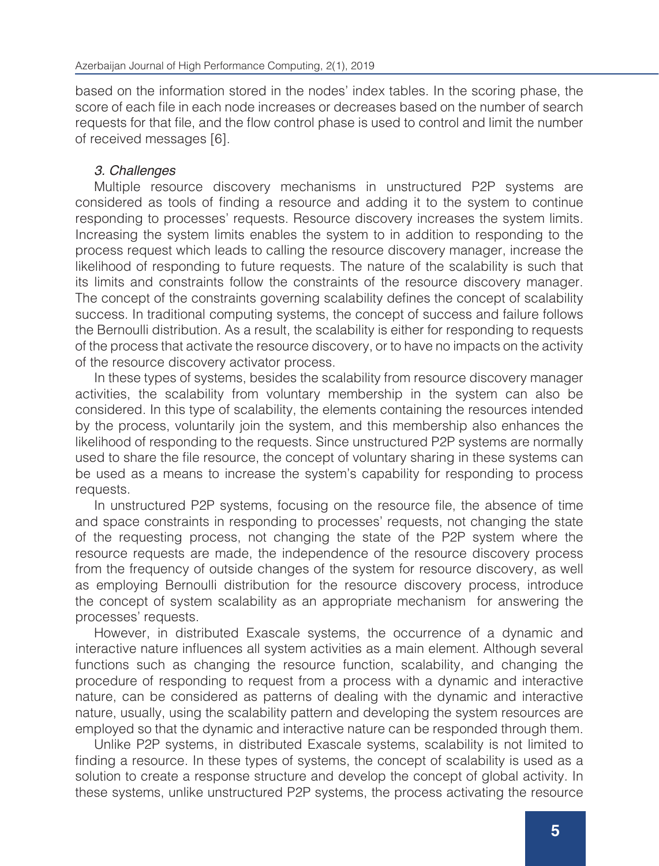based on the information stored in the nodes' index tables. In the scoring phase, the score of each file in each node increases or decreases based on the number of search requests for that file, and the flow control phase is used to control and limit the number of received messages [6].

### *3. Challenges*

Multiple resource discovery mechanisms in unstructured P2P systems are considered as tools of finding a resource and adding it to the system to continue responding to processes' requests. Resource discovery increases the system limits. Increasing the system limits enables the system to in addition to responding to the process request which leads to calling the resource discovery manager, increase the likelihood of responding to future requests. The nature of the scalability is such that its limits and constraints follow the constraints of the resource discovery manager. The concept of the constraints governing scalability defines the concept of scalability success. In traditional computing systems, the concept of success and failure follows the Bernoulli distribution. As a result, the scalability is either for responding to requests of the process that activate the resource discovery, or to have no impacts on the activity of the resource discovery activator process.

In these types of systems, besides the scalability from resource discovery manager activities, the scalability from voluntary membership in the system can also be considered. In this type of scalability, the elements containing the resources intended by the process, voluntarily join the system, and this membership also enhances the likelihood of responding to the requests. Since unstructured P2P systems are normally used to share the file resource, the concept of voluntary sharing in these systems can be used as a means to increase the system's capability for responding to process requests.

In unstructured P2P systems, focusing on the resource file, the absence of time and space constraints in responding to processes' requests, not changing the state of the requesting process, not changing the state of the P2P system where the resource requests are made, the independence of the resource discovery process from the frequency of outside changes of the system for resource discovery, as well as employing Bernoulli distribution for the resource discovery process, introduce the concept of system scalability as an appropriate mechanism for answering the processes' requests.

However, in distributed Exascale systems, the occurrence of a dynamic and interactive nature influences all system activities as a main element. Although several functions such as changing the resource function, scalability, and changing the procedure of responding to request from a process with a dynamic and interactive nature, can be considered as patterns of dealing with the dynamic and interactive nature, usually, using the scalability pattern and developing the system resources are employed so that the dynamic and interactive nature can be responded through them.

Unlike P2P systems, in distributed Exascale systems, scalability is not limited to finding a resource. In these types of systems, the concept of scalability is used as a solution to create a response structure and develop the concept of global activity. In these systems, unlike unstructured P2P systems, the process activating the resource